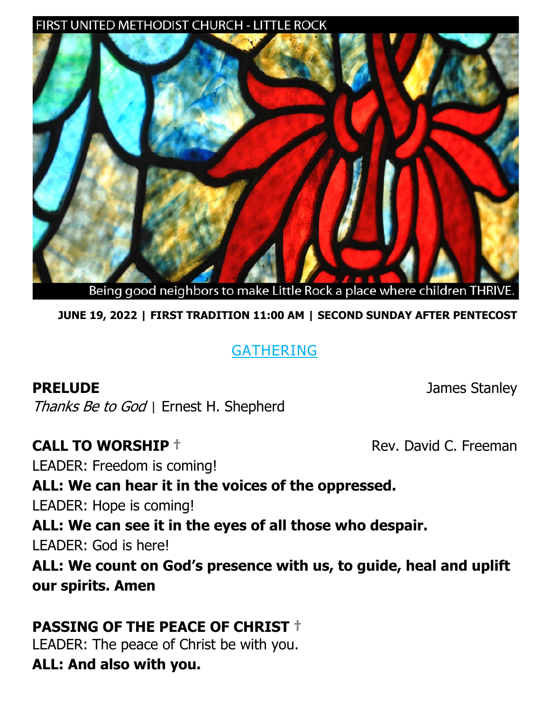#### FIRST UNITED METHODIST CHURCH - LITTLE ROCK



Being good neighbors to make Little Rock a place where children THRIVE.

**JUNE 19, 2022 | FIRST TRADITION 11:00 AM | SECOND SUNDAY AFTER PENTECOST**

## GATHERING

**PRELUDE** James Stanley

Thanks Be to God *|* Ernest H. Shepherd

#### **CALL TO WORSHIP † Example 2018** Rev. David C. Freeman

LEADER: Freedom is coming!

## **ALL: We can hear it in the voices of the oppressed.**

LEADER: Hope is coming!

**ALL: We can see it in the eyes of all those who despair.**

LEADER: God is here!

**ALL: We count on God's presence with us, to guide, heal and uplift our spirits. Amen**

## **PASSING OF THE PEACE OF CHRIST †**

LEADER: The peace of Christ be with you. **ALL: And also with you.**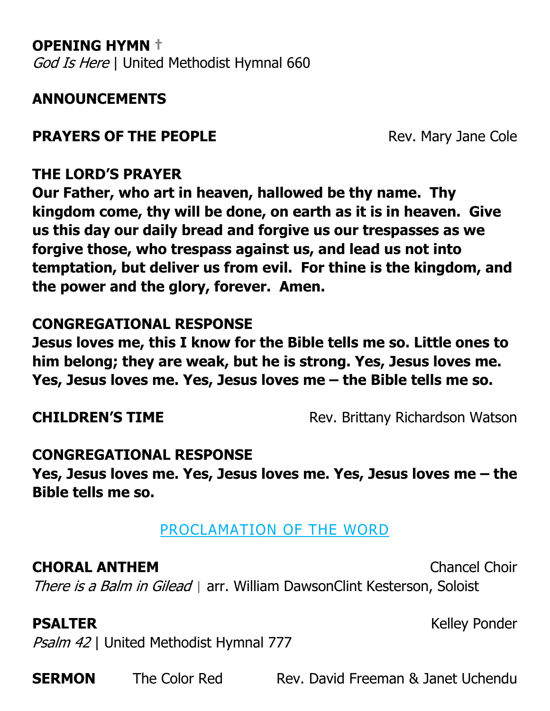**OPENING HYMN †**  God Is Here | United Methodist Hymnal 660

## **ANNOUNCEMENTS**

## **PRAYERS OF THE PEOPLE** Rev. Mary Jane Cole

### **THE LORD'S PRAYER**

**Our Father, who art in heaven, hallowed be thy name. Thy kingdom come, thy will be done, on earth as it is in heaven. Give us this day our daily bread and forgive us our trespasses as we forgive those, who trespass against us, and lead us not into temptation, but deliver us from evil. For thine is the kingdom, and the power and the glory, forever. Amen.**

#### **CONGREGATIONAL RESPONSE**

**Jesus loves me, this I know for the Bible tells me so. Little ones to him belong; they are weak, but he is strong. Yes, Jesus loves me. Yes, Jesus loves me. Yes, Jesus loves me – the Bible tells me so.** 

**CHILDREN'S TIME** Rev. Brittany Richardson Watson

#### **CONGREGATIONAL RESPONSE**

**Yes, Jesus loves me. Yes, Jesus loves me. Yes, Jesus loves me – the Bible tells me so.** 

#### PROCLAMATION OF THE WORD

#### **CHORAL ANTHEM** Chancel Choir

There is a Balm in Gilead *|* arr. William DawsonClint Kesterson, Soloist

Psalm 42 | United Methodist Hymnal 777

**SERMON** The Color Red Rev. David Freeman & Janet Uchendu

**PSALTER** Kelley Ponder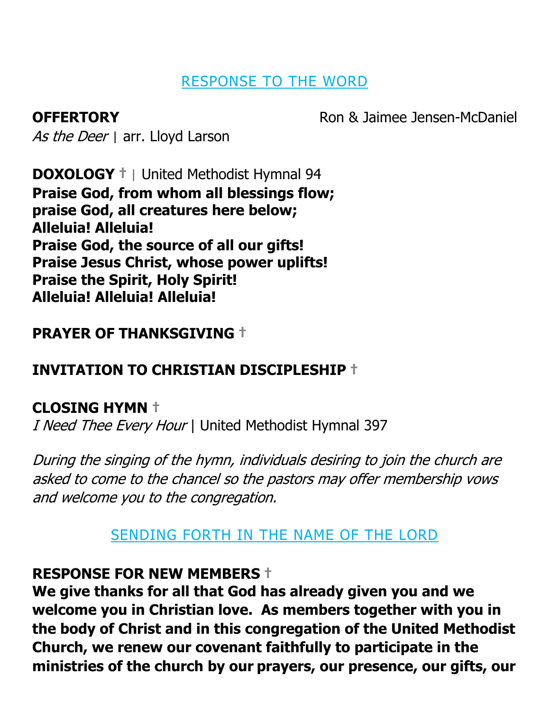## RESPONSE TO THE WORD

As the Deer | arr. Lloyd Larson

**OFFERTORY Ron & Jaimee Jensen-McDaniel** 

**DOXOLOGY †** *|* United Methodist Hymnal 94 **Praise God, from whom all blessings flow; praise God, all creatures here below; Alleluia! Alleluia! Praise God, the source of all our gifts! Praise Jesus Christ, whose power uplifts! Praise the Spirit, Holy Spirit! Alleluia! Alleluia! Alleluia!**

# **PRAYER OF THANKSGIVING †**

# **INVITATION TO CHRISTIAN DISCIPLESHIP †**

# **CLOSING HYMN †**

I Need Thee Every Hour | United Methodist Hymnal 397

During the singing of the hymn, individuals desiring to join the church are asked to come to the chancel so the pastors may offer membership vows and welcome you to the congregation.

# SENDING FORTH IN THE NAME OF THE LORD

## **RESPONSE FOR NEW MEMBERS †**

**We give thanks for all that God has already given you and we welcome you in Christian love. As members together with you in the body of Christ and in this congregation of the United Methodist Church, we renew our covenant faithfully to participate in the ministries of the church by our prayers, our presence, our gifts, our**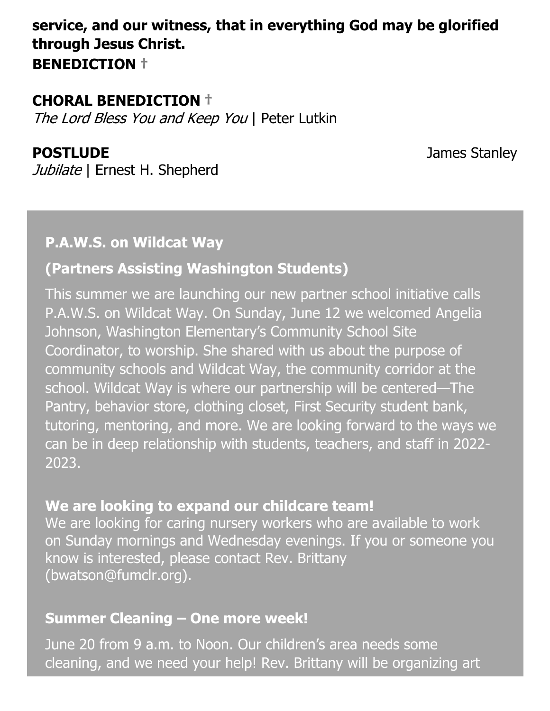## **service, and our witness, that in everything God may be glorified through Jesus Christ. BENEDICTION †**

#### **CHORAL BENEDICTION †**

The Lord Bless You and Keep You | Peter Lutkin

**POSTLUDE** James Stanley

Jubilate | Ernest H. Shepherd

#### **P.A.W.S. on Wildcat Way**

### **(Partners Assisting Washington Students)**

This summer we are launching our new partner school initiative calls P.A.W.S. on Wildcat Way. On Sunday, June 12 we welcomed Angelia Johnson, Washington Elementary's Community School Site Coordinator, to worship. She shared with us about the purpose of community schools and Wildcat Way, the community corridor at the school. Wildcat Way is where our partnership will be centered—The Pantry, behavior store, clothing closet, First Security student bank, tutoring, mentoring, and more. We are looking forward to the ways we can be in deep relationship with students, teachers, and staff in 2022- 2023.

#### **We are looking to expand our childcare team!**

We are looking for caring nursery workers who are available to work on Sunday mornings and Wednesday evenings. If you or someone you know is interested, please contact Rev. Brittany (bwatson@fumclr.org).

#### **Summer Cleaning – One more week!**

June 20 from 9 a.m. to Noon. Our children's area needs some cleaning, and we need your help! Rev. Brittany will be organizing art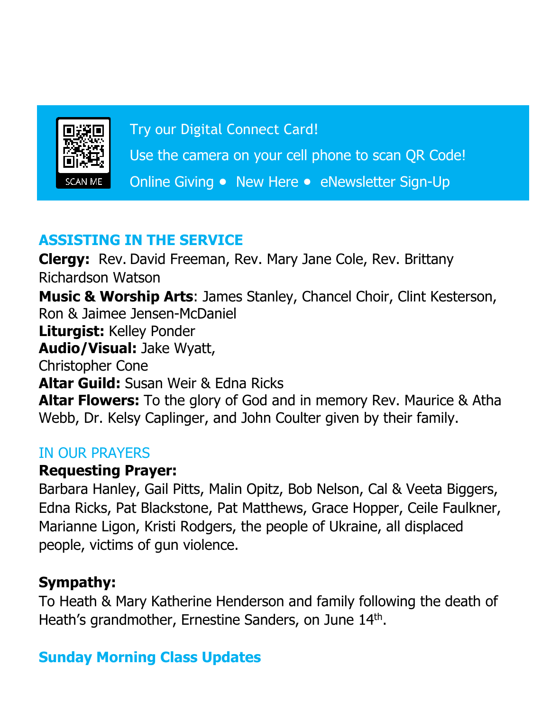

Try our Digital Connect Card!

Use the camera on your cell phone to scan QR Code!

Online Giving ● New Here ● eNewsletter Sign-Up

# **ASSISTING IN THE SERVICE**

**Clergy:** Rev. David Freeman, Rev. Mary Jane Cole, Rev. Brittany Richardson Watson **Music & Worship Arts**: James Stanley, Chancel Choir, Clint Kesterson, Ron & Jaimee Jensen-McDaniel **Liturgist:** Kelley Ponder **Audio/Visual:** Jake Wyatt, Christopher Cone **Altar Guild:** Susan Weir & Edna Ricks **Altar Flowers:** To the glory of God and in memory Rev. Maurice & Atha Webb, Dr. Kelsy Caplinger, and John Coulter given by their family.

## IN OUR PRAYERS

## **Requesting Prayer:**

Barbara Hanley, Gail Pitts, Malin Opitz, Bob Nelson, Cal & Veeta Biggers, Edna Ricks, Pat Blackstone, Pat Matthews, Grace Hopper, Ceile Faulkner, Marianne Ligon, Kristi Rodgers, the people of Ukraine, all displaced people, victims of gun violence.

# **Sympathy:**

To Heath & Mary Katherine Henderson and family following the death of Heath's grandmother, Ernestine Sanders, on June 14<sup>th</sup>.

# **Sunday Morning Class Updates**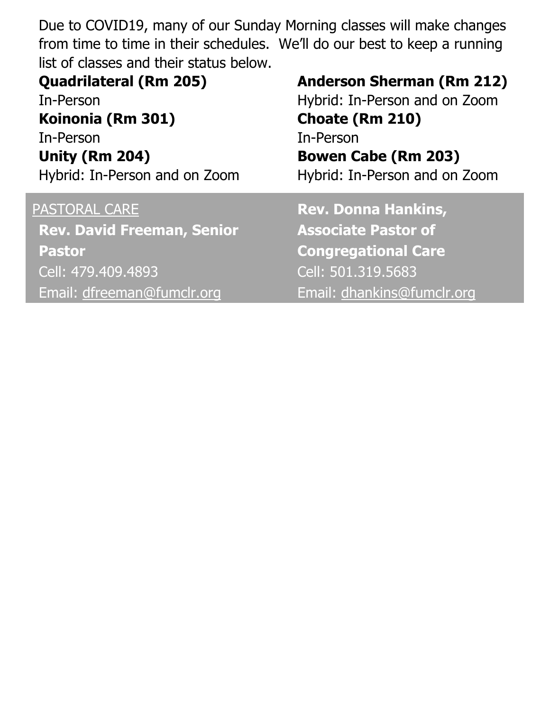Due to COVID19, many of our Sunday Morning classes will make changes from time to time in their schedules. We'll do our best to keep a running list of classes and their status below.

| <b>Quadrilateral (Rm 205)</b><br>In-Person<br>Koinonia (Rm 301)<br>In-Person<br><b>Unity (Rm 204)</b><br>Hybrid: In-Person and on Zoom | <b>Anderson Sherman (Rm 212)</b><br>Hybrid: In-Person and on Zoom<br>Choate (Rm 210)<br>In-Person<br><b>Bowen Cabe (Rm 203)</b><br>Hybrid: In-Person and on Zoom |
|----------------------------------------------------------------------------------------------------------------------------------------|------------------------------------------------------------------------------------------------------------------------------------------------------------------|
| PASTORAL CARE                                                                                                                          | <b>Rev. Donna Hankins,</b>                                                                                                                                       |
| <b>Rev. David Freeman, Senior</b>                                                                                                      | <b>Associate Pastor of</b>                                                                                                                                       |
| <b>Pastor</b>                                                                                                                          | <b>Congregational Care</b>                                                                                                                                       |
| Cell: 479.409.4893                                                                                                                     | Cell: 501.319.5683                                                                                                                                               |
| Email: dfreeman@fumclr.org                                                                                                             | Email: dhankins@fumclr.org                                                                                                                                       |